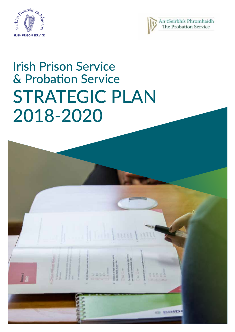



# STRATEGIC PLAN 2018-2020 Irish Prison Service & Probation Service

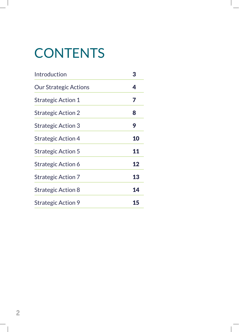# **CONTENTS**

| Introduction                 | 3  |
|------------------------------|----|
| <b>Our Strategic Actions</b> | 4  |
| <b>Strategic Action 1</b>    | 7  |
| <b>Strategic Action 2</b>    | 8  |
| <b>Strategic Action 3</b>    | 9  |
| <b>Strategic Action 4</b>    | 10 |
| <b>Strategic Action 5</b>    | 11 |
| <b>Strategic Action 6</b>    | 12 |
| <b>Strategic Action 7</b>    | 13 |
| <b>Strategic Action 8</b>    | 14 |
| <b>Strategic Action 9</b>    | 15 |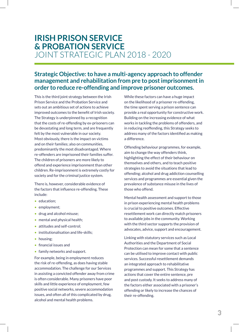# **IRISH PRISON SERVICE & PROBATION SERVICE**  JOINT STRATEGIC PLAN 2018 - 2020

# **Strategic Objective: to have a multi-agency approach to offender management and rehabilitation from pre to post imprisonment in order to reduce re-offending and improve prisoner outcomes.**

This is the third joint strategy between the Irish Prison Service and the Probation Service and sets out an ambitious set of actions to achieve improved outcomes to the benefit of Irish society. The Strategy is underpinned by a recognition that the costs of re-offending by ex-prisoners can be devastating and long term, and are frequently felt by the most vulnerable in our society. Most obviously, there is the impact on victims and on their families; also on communities, predominantly the most disadvantaged. Where re-offenders are imprisoned their families suffer. The children of prisoners are more likely to offend and experience imprisonment than other children. Re-imprisonment is extremely costly for society and for the criminal justice system.

There is, however, considerable evidence of the factors that influence re-offending. These include:

- education:
- employment:
- drug and alcohol misuse;
- mental and physical health;
- attitudes and self-control:
- institutionalisation and life-skills;
- housing:
- financial issues and
- family networks and support.

For example, being in employment reduces the risk of re-offending, as does having stable accommodation. The challenge for our Services in assisting a convicted offender away from crime is often considerable. Many prisoners have poor skills and little experience of employment, few positive social networks, severe accommodation issues, and often all of this complicated by drug, alcohol and mental health problems.

While these factors can have a huge impact on the likelihood of a prisoner re-offending, the time spent serving a prison sentence can provide a real opportunity for constructive work. Building on the increasing evidence of what works in tackling the problems of offenders, and in reducing reoffending, this Strategy seeks to address many of the factors identified as making a difference.

Offending behaviour programmes, for example, aim to change the way offenders think, highlighting the effect of their behaviour on themselves and others, and to teach positive strategies to avoid the situations that lead to offending; alcohol and drug addiction counselling services and programmes are essential given the prevalence of substance misuse in the lives of those who offend.

Mental health assessment and support to those in prison experiencing mental health problems is crucial to positive outcomes. Effective resettlement work can directly match prisoners to available jobs in the community. Working with the third sector supports the provision of advocates, advice, support and encouragement.

Linking with statutory services such as Local Authorities and the Department of Social Protection can mean for some that a sentence can be utilised to improve contact with public services. Successful resettlement demands an integrated approach to rehabilitative programmes and support. This Strategy has actions that cover the entire sentence, pre and post custody. It seeks to address many of the factors either associated with a prisoner's offending or likely to increase the chances of their re-offending.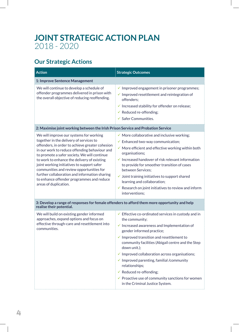# **JOINT STRATEGIC ACTION PLAN**  2018 - 2020

# **Our Strategic Actions**

| <b>Action</b>                                                                                                                                                                                                                                                                                                                                                                                                                                                                                          | <b>Strategic Outcomes</b>                                                                                                                                                                                                                                                                                                                                                                                                                                                                                                                                                           |  |
|--------------------------------------------------------------------------------------------------------------------------------------------------------------------------------------------------------------------------------------------------------------------------------------------------------------------------------------------------------------------------------------------------------------------------------------------------------------------------------------------------------|-------------------------------------------------------------------------------------------------------------------------------------------------------------------------------------------------------------------------------------------------------------------------------------------------------------------------------------------------------------------------------------------------------------------------------------------------------------------------------------------------------------------------------------------------------------------------------------|--|
| 1: Improve Sentence Management                                                                                                                                                                                                                                                                                                                                                                                                                                                                         |                                                                                                                                                                                                                                                                                                                                                                                                                                                                                                                                                                                     |  |
| We will continue to develop a schedule of<br>offender programmes delivered in prison with<br>the overall objective of reducing reoffending.                                                                                                                                                                                                                                                                                                                                                            | $\checkmark$ Improved engagement in prisoner programmes;<br>$\checkmark$ Improved resettlement and reintegration of<br>offenders:<br>$\checkmark$ Increased stability for offender on release;<br>$\checkmark$ Reduced re-offending;<br>$\checkmark$ Safer Communities.                                                                                                                                                                                                                                                                                                             |  |
| 2: Maximise joint working between the Irish Prison Service and Probation Service                                                                                                                                                                                                                                                                                                                                                                                                                       |                                                                                                                                                                                                                                                                                                                                                                                                                                                                                                                                                                                     |  |
| We will improve our systems for working<br>together in the delivery of services to<br>offenders, in order to achieve greater cohesion<br>in our work to reduce offending behaviour and<br>to promote a safer society. We will continue<br>to work to enhance the delivery of existing<br>joint working initiatives to support safer<br>communities and review opportunities for<br>further collaboration and information sharing<br>to enhance offender programmes and reduce<br>areas of duplication. | $\checkmark$ More collaborative and inclusive working;<br>$\checkmark$ Enhanced two-way communication;<br>$\checkmark$ More efficient and effective working within both<br>organisations;<br>$\checkmark$ Increased handover of risk relevant information<br>to provide for smoother transition of cases<br>between Services:<br>$\checkmark$ Joint training initiatives to support shared<br>learning and collaboration;<br>$\checkmark$ Research on joint initiatives to review and inform<br>interventions;                                                                      |  |
| 3: Develop a range of responses for female offenders to afford them more opportunity and help<br>realise their potential.                                                                                                                                                                                                                                                                                                                                                                              |                                                                                                                                                                                                                                                                                                                                                                                                                                                                                                                                                                                     |  |
| We will build on existing gender informed<br>approaches, expand options and focus on<br>effective through-care and resettlement into<br>communities.                                                                                                                                                                                                                                                                                                                                                   | $\checkmark$ Effective co-ordinated services in custody and in<br>the community;<br>$\checkmark$ Increased awareness and Implementation of<br>gender informed practice;<br>$\checkmark$ Improved transition and resettlement to<br>community facilities (Abigail centre and the Step<br>down unit.);<br>$\checkmark$ Improved collaboration across organisations;<br>$\checkmark$ Improved parenting, familial /community<br>relationships;<br>$\checkmark$ Reduced re-offending;<br>$\checkmark$ Proactive use of community sanctions for women<br>in the Criminal Justice System. |  |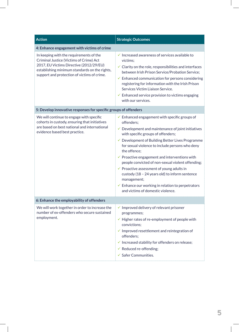| <b>Action</b>                                                                                                                                                                                                                 | <b>Strategic Outcomes</b>                                                                                                                                                                                                                                                                                                                                                                                                                                                                                                                                                                                                                           |  |  |
|-------------------------------------------------------------------------------------------------------------------------------------------------------------------------------------------------------------------------------|-----------------------------------------------------------------------------------------------------------------------------------------------------------------------------------------------------------------------------------------------------------------------------------------------------------------------------------------------------------------------------------------------------------------------------------------------------------------------------------------------------------------------------------------------------------------------------------------------------------------------------------------------------|--|--|
| 4: Enhance engagement with victims of crime                                                                                                                                                                                   |                                                                                                                                                                                                                                                                                                                                                                                                                                                                                                                                                                                                                                                     |  |  |
| In keeping with the requirements of the<br>Criminal Justice (Victims of Crime) Act<br>2017, EU Victims Directive (2012/29/EU)<br>establishing minimum standards on the rights,<br>support and protection of victims of crime. | $\checkmark$ Increased awareness of services available to<br>victims:<br>$\checkmark$ Clarity on the role, responsibilities and interfaces<br>between Irish Prison Service/Probation Service;<br>$\checkmark$ Enhanced communication for persons considering<br>registering for information with the Irish Prison<br>Services Victim Liaison Service.<br>$\checkmark$ Enhanced service provision to victims engaging<br>with our services.                                                                                                                                                                                                          |  |  |
| 5: Develop innovative responses for specific groups of offenders                                                                                                                                                              |                                                                                                                                                                                                                                                                                                                                                                                                                                                                                                                                                                                                                                                     |  |  |
| We will continue to engage with specific<br>cohorts in custody, ensuring that initiatives<br>are based on best national and international<br>evidence based best practice.                                                    | $\checkmark$ Enhanced engagement with specific groups of<br>offenders;<br>$\checkmark$ Development and maintenance of joint initiatives<br>with specific groups of offenders;<br>✔ Development of Building Better Lives Programme<br>for sexual violence to include persons who deny<br>the offence;<br>$\checkmark$ Proactive engagement and interventions with<br>people convicted of non-sexual violent offending;<br>$\checkmark$ Proactive assessment of young adults in<br>custody (18 - 24 years old) to inform sentence<br>management;<br>$\checkmark$ Enhance our working in relation to perpetrators<br>and victims of domestic violence. |  |  |
| 6: Enhance the employability of offenders                                                                                                                                                                                     |                                                                                                                                                                                                                                                                                                                                                                                                                                                                                                                                                                                                                                                     |  |  |
| We will work together in order to increase the<br>number of ex-offenders who secure sustained<br>employment.                                                                                                                  | $\checkmark$ Improved delivery of relevant prisoner<br>programmes;<br>$\checkmark$ Higher rates of re-employment of people with<br>convictions;<br>$\checkmark$ Improved resettlement and reintegration of<br>offenders;<br>$\checkmark$ Increased stability for offenders on release;<br>$\checkmark$ Reduced re-offending;<br>$\checkmark$ Safer Communities.                                                                                                                                                                                                                                                                                     |  |  |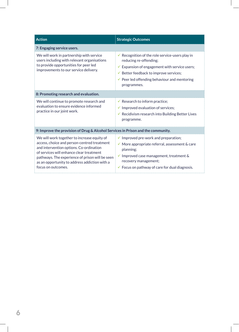| <b>Action</b>                                                                                                                                                                                                                                                                                               | <b>Strategic Outcomes</b>                                                                                                                                                                                                                                            |
|-------------------------------------------------------------------------------------------------------------------------------------------------------------------------------------------------------------------------------------------------------------------------------------------------------------|----------------------------------------------------------------------------------------------------------------------------------------------------------------------------------------------------------------------------------------------------------------------|
| 7: Engaging service users.                                                                                                                                                                                                                                                                                  |                                                                                                                                                                                                                                                                      |
| We will work in partnership with service<br>users including with relevant organisations<br>to provide opportunities for peer led<br>improvements to our service delivery.                                                                                                                                   | Recognition of the role service-users play in<br>reducing re-offending;<br>$\checkmark$ Expansion of engagement with service users;<br>✔ Better feedback to improve services;<br>$\checkmark$ Peer led offending behaviour and mentoring<br>programmes.              |
| 8: Promoting research and evaluation.                                                                                                                                                                                                                                                                       |                                                                                                                                                                                                                                                                      |
| We will continue to promote research and<br>evaluation to ensure evidence informed<br>practice in our joint work.                                                                                                                                                                                           | $\checkmark$ Research to inform practice;<br>$\checkmark$ Improved evaluation of services;<br>$\checkmark$ Recidivism research into Building Better Lives<br>programme.                                                                                              |
| 9: Improve the provision of Drug & Alcohol Services in Prison and the community.                                                                                                                                                                                                                            |                                                                                                                                                                                                                                                                      |
| We will work together to increase equity of<br>access, choice and person-centred treatment<br>and intervention options. Co-ordination<br>of services will enhance clear treatment<br>pathways. The experience of prison will be seen<br>as an opportunity to address addiction with a<br>focus on outcomes. | $\checkmark$ Improved pre-work and preparation;<br>$\checkmark$ More appropriate referral, assessment & care<br>planning;<br>$\checkmark$ Improved case management, treatment &<br>recovery management;<br>$\checkmark$ Focus on pathway of care for dual diagnosis. |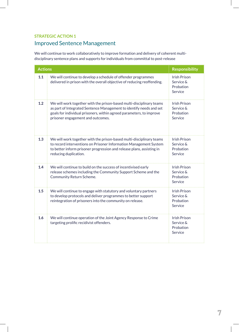# Improved Sentence Management

We will continue to work collaboratively to improve formation and delivery of coherent multidisciplinary sentence plans and supports for individuals from committal to post-release

| <b>Actions</b> |                                                                                                                                                                                                                                                          | <b>Responsibility</b>                                    |
|----------------|----------------------------------------------------------------------------------------------------------------------------------------------------------------------------------------------------------------------------------------------------------|----------------------------------------------------------|
| 1.1            | We will continue to develop a schedule of offender programmes<br>delivered in prison with the overall objective of reducing reoffending.                                                                                                                 | <b>Irish Prison</b><br>Service &<br>Probation<br>Service |
| 1.2            | We will work together with the prison-based multi-disciplinary teams<br>as part of Integrated Sentence Management to identify needs and set<br>goals for individual prisoners, within agreed parameters, to improve<br>prisoner engagement and outcomes. | <b>Irish Prison</b><br>Service &<br>Probation<br>Service |
| 1.3            | We will work together with the prison-based multi-disciplinary teams<br>to record interventions on Prisoner Information Management System<br>to better inform prisoner progression and release plans, assisting in<br>reducing duplication.              | <b>Irish Prison</b><br>Service &<br>Probation<br>Service |
| 1.4            | We will continue to build on the success of incentivised early<br>release schemes including the Community Support Scheme and the<br>Community Return Scheme.                                                                                             | <b>Irish Prison</b><br>Service &<br>Probation<br>Service |
| 1.5            | We will continue to engage with statutory and voluntary partners<br>to develop protocols and deliver programmes to better support<br>reintegration of prisoners into the community on release.                                                           | <b>Irish Prison</b><br>Service &<br>Probation<br>Service |
| 1.6            | We will continue operation of the Joint Agency Response to Crime<br>targeting prolific recidivist offenders.                                                                                                                                             | <b>Irish Prison</b><br>Service &<br>Probation<br>Service |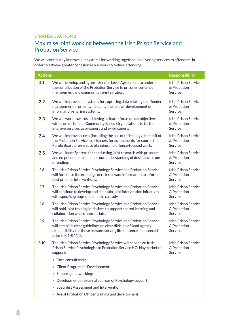# Maximise joint working between the Irish Prison Service and Probation Service

We will continually improve our systems for working together in delivering services to offenders, in order to achieve greater cohesion in our work to reduce offending.

| <b>Actions</b> |                                                                                                                                                                                                                                     | <b>Responsibility</b>                                 |
|----------------|-------------------------------------------------------------------------------------------------------------------------------------------------------------------------------------------------------------------------------------|-------------------------------------------------------|
| 2.1            | We will develop and agree a Service Level Agreement to underpin<br>the contribution of the Probation Service to prisoner sentence<br>management and community re-integration.                                                       | <b>Irish Prison Service</b><br>& Probation<br>Service |
| 2.2            | We will improve our systems for capturing data relating to offender<br>management in prisons, including the further development of<br>information-sharing systems.                                                                  | <b>Irish Prison Service</b><br>& Probation<br>Service |
| 2.3            | We will work towards achieving a clearer focus on set objectives<br>with the co-funded Community Based Organisations to further<br>improve services to prisoners and ex-prisoners.                                                  | <b>Irish Prison Service</b><br>& Probation<br>Service |
| 2.4            | We will improve access (including the use of technology) for staff of<br>the Probation Service to prisoners for assessments for courts, the<br>Parole Board pre-release planning and offence-focused work.                          | <b>Irish Prison Service</b><br>& Probation<br>Service |
| 2.5            | We will identify areas for conducting joint research with prisoners<br>and ex-prisoners to enhance our understanding of desistence from<br>offending.                                                                               | <b>Irish Prison Service</b><br>& Probation<br>Service |
| 2.6            | The Irish Prison Service Psychology Service and Probation Service<br>will formalise the exchange of risk relevant information to inform<br>best practice interventions.                                                             | <b>Irish Prison Service</b><br>& Probation<br>Service |
| 2.7            | The Irish Prison Service Psychology Service and Probation Service<br>will continue to develop and maintain joint intervention initiatives<br>with specific groups of people in custody.                                             | <b>Irish Prison Service</b><br>& Probation<br>Service |
| 2.8            | The Irish Prison Service Psychology Service and Probation Service<br>will hold joint training initiatives to support shared learning and<br>collaboration where appropriate.                                                        | <b>Irish Prison Service</b><br>& Probation<br>Service |
| 2.9            | The Irish Prison Service Psychology Service and Probation Service<br>will establish clear guidelines on clear division of 'lead agency'<br>responsibility for those persons serving life sentences, sentenced<br>prior to 01/04/17. | <b>Irish Prison Service</b><br>& Probation<br>Service |
| 2.10           | The Irish Prison Service Psychology Service will second an Irish<br>Prison Service Psychologist to Probation Service HQ, Haymarket to<br>support:                                                                                   | <b>Irish Prison Service</b><br>& Probation<br>Service |
|                | • Case consultancy;                                                                                                                                                                                                                 |                                                       |
|                | <b>Client Programme Development;</b><br>$\bullet$                                                                                                                                                                                   |                                                       |
|                | Support joint working;<br>۰                                                                                                                                                                                                         |                                                       |
|                | Development of external sources of Psychology support;                                                                                                                                                                              |                                                       |
|                | Specialist Assessment and Intervention;<br>$\bullet$                                                                                                                                                                                |                                                       |
|                | Assist Probation Officer training and development.                                                                                                                                                                                  |                                                       |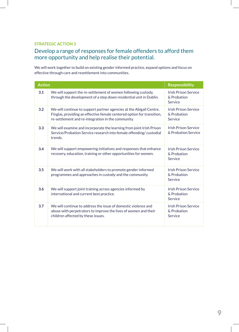### Develop a range of responses for female offenders to afford them more opportunity and help realise their potential.

We will work together to build on existing gender informed practice, expand options and focus on effective through care and resettlement into communities.

| <b>Action</b> |                                                                                                                                                                                                     | <b>Responsibility</b>                                 |
|---------------|-----------------------------------------------------------------------------------------------------------------------------------------------------------------------------------------------------|-------------------------------------------------------|
| 3.1           | We will support the re-settlement of women following custody,<br>through the development of a step down residential unit in Dublin.                                                                 | <b>Irish Prison Service</b><br>& Probation<br>Service |
| 3.2           | We will continue to support partner agencies at the Abigail Centre,<br>Finglas, providing an effective female centered option for transition,<br>re-settlement and re-integration in the community. | <b>Irish Prison Service</b><br>& Probation<br>Service |
| 3.3           | We will examine and incorporate the learning from joint Irish Prison<br>Service/Probation Service research into female offending/custodial<br>trends.                                               | <b>Irish Prison Service</b><br>& Probation Service    |
| 3.4           | We will support empowering initiatives and responses that enhance<br>recovery, education, training or other opportunities for women.                                                                | <b>Irish Prison Service</b><br>& Probation<br>Service |
| 3.5           | We will work with all stakeholders to promote gender informed<br>programmes and approaches in custody and the community.                                                                            | <b>Irish Prison Service</b><br>& Probation<br>Service |
| 3.6           | We will support joint training across agencies informed by<br>international and current best practice.                                                                                              | <b>Irish Prison Service</b><br>& Probation<br>Service |
| 3.7           | We will continue to address the issue of domestic violence and<br>abuse with perpetrators to improve the lives of women and their<br>children affected by these issues.                             | <b>Irish Prison Service</b><br>& Probation<br>Service |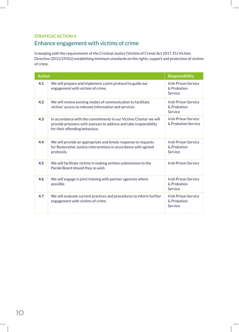# Enhance engagement with victims of crime

In keeping with the requirements of the Criminal Justice (Victims of Crime) Act 2017, EU Victims Directive (2012/29/EU) establishing minimum standards on the rights, support and protection of victims of crime.

| <b>Action</b> |                                                                                                                                                                          | <b>Responsibility</b>                                 |
|---------------|--------------------------------------------------------------------------------------------------------------------------------------------------------------------------|-------------------------------------------------------|
| 4.1           | We will prepare and implement a joint protocol to guide our<br>engagement with victims of crime.                                                                         | <b>Irish Prison Service</b><br>& Probation<br>Service |
| 4.2           | We will review existing modes of communication to facilitate<br>victims' access to relevant information and services.                                                    | <b>Irish Prison Service</b><br>& Probation<br>Service |
| 4.3           | In accordance with the commitments in our Victims Charter we will<br>provide prisoners with avenues to address and take responsibility<br>for their offending behaviour. | <b>Irish Prison Service</b><br>& Probation Service    |
| 4.4           | We will provide an appropriate and timely response to requests<br>for Restorative Justice interventions in accordance with agreed<br>protocols.                          | <b>Irish Prison Service</b><br>& Probation<br>Service |
| 4.5           | We will facilitate victims in making written submissions to the<br>Parole Board should they so wish                                                                      | <b>Irish Prison Service</b>                           |
| 4.6           | We will engage in joint training with partner agencies where<br>possible.                                                                                                | <b>Irish Prison Service</b><br>& Probation<br>Service |
| 4.7           | We will evaluate current practices and procedures to inform further<br>engagement with victims of crime.                                                                 | <b>Irish Prison Service</b><br>& Probation<br>Service |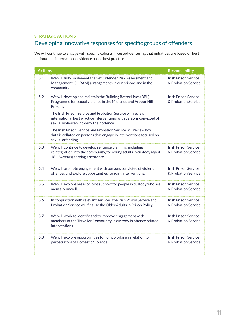# Developing innovative responses for specific groups of offenders

We will continue to engage with specific cohorts in custody, ensuring that initiatives are based on best national and international evidence based best practice

| <b>Actions</b> |                                                                                                                                                                                                         | <b>Responsibility</b>                              |
|----------------|---------------------------------------------------------------------------------------------------------------------------------------------------------------------------------------------------------|----------------------------------------------------|
| 5.1            | We will fully implement the Sex Offender Risk Assessment and<br>Management (SORAM) arrangements in our prisons and in the<br>community.                                                                 | <b>Irish Prison Service</b><br>& Probation Service |
| 5.2            | We will develop and maintain the Building Better Lives (BBL)<br>Programme for sexual violence in the Midlands and Arbour Hill<br>Prisons.<br>The Irish Prison Service and Probation Service will review | <b>Irish Prison Service</b><br>& Probation Service |
|                | international best practice interventions with persons convicted of<br>sexual violence who deny their offence.                                                                                          |                                                    |
|                | The Irish Prison Service and Probation Service will review how<br>data is collated on persons that engage in interventions focused on<br>sexual offending.                                              |                                                    |
| 5.3            | We will continue to develop sentence planning, including<br>reintegration into the community, for young adults in custody (aged<br>18 - 24 years) serving a sentence.                                   | <b>Irish Prison Service</b><br>& Probation Service |
| 5.4            | We will promote engagement with persons convicted of violent<br>offences and explore opportunities for joint interventions.                                                                             | <b>Irish Prison Service</b><br>& Probation Service |
| 5.5            | We will explore areas of joint support for people in custody who are<br>mentally unwell.                                                                                                                | <b>Irish Prison Service</b><br>& Probation Service |
| 5.6            | In conjunction with relevant services, the Irish Prison Service and<br>Probation Service will finalise the Older Adults in Prison Policy.                                                               | <b>Irish Prison Service</b><br>& Probation Service |
| 5.7            | We will work to identify and to improve engagement with<br>members of the Traveller Community in custody in offence related<br>interventions.                                                           | <b>Irish Prison Service</b><br>& Probation Service |
| 5.8            | We will explore opportunities for joint working in relation to<br>perpetrators of Domestic Violence.                                                                                                    | <b>Irish Prison Service</b><br>& Probation Service |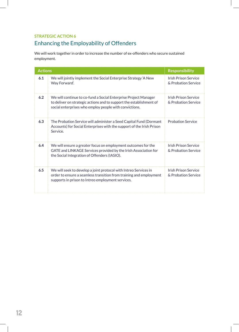# **STRATEGIC ACTION 6** Enhancing the Employability of Offenders

We will work together in order to increase the number of ex-offenders who secure sustained employment.

| <b>Actions</b> |                                                                                                                                                                                                  | <b>Responsibility</b>                              |
|----------------|--------------------------------------------------------------------------------------------------------------------------------------------------------------------------------------------------|----------------------------------------------------|
| 6.1            | We will jointly implement the Social Enterprise Strategy 'A New<br>Way Forward'.                                                                                                                 | <b>Irish Prison Service</b><br>& Probation Service |
| 6.2            | We will continue to co-fund a Social Enterprise Project Manager<br>to deliver on strategic actions and to support the establishment of<br>social enterprises who employ people with convictions. | <b>Irish Prison Service</b><br>& Probation Service |
| 6.3            | The Probation Service will administer a Seed Capital Fund (Dormant<br>Accounts) for Social Enterprises with the support of the Irish Prison<br>Service.                                          | <b>Probation Service</b>                           |
| 6.4            | We will ensure a greater focus on employment outcomes for the<br>GATE and LINKAGE Services provided by the Irish Association for<br>the Social Integration of Offenders (IASIO).                 | <b>Irish Prison Service</b><br>& Probation Service |
| 6.5            | We will seek to develop a joint protocol with Intreo Services in<br>order to ensure a seamless transition from training and employment<br>supports in prison to Intreo employment services.      | <b>Irish Prison Service</b><br>& Probation Service |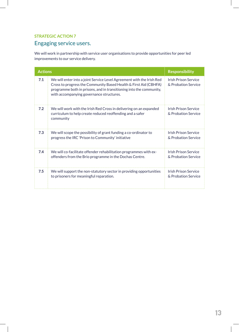# Engaging service users.

We will work in partnership with service user organisations to provide opportunities for peer led improvements to our service delivery.

| <b>Actions</b> |                                                                                                                                                                                                                                                              | <b>Responsibility</b>                              |
|----------------|--------------------------------------------------------------------------------------------------------------------------------------------------------------------------------------------------------------------------------------------------------------|----------------------------------------------------|
| 7.1            | We will enter into a joint Service Level Agreement with the Irish Red<br>Cross to progress the Community Based Health & First Aid (CBHFA)<br>programme both in prisons, and in transitioning into the community,<br>with accompanying governance structures. | <b>Irish Prison Service</b><br>& Probation Service |
| 7.2            | We will work with the Irish Red Cross in delivering on an expanded<br>curriculum to help create reduced reoffending and a safer<br>community                                                                                                                 | <b>Irish Prison Service</b><br>& Probation Service |
| 7.3            | We will scope the possibility of grant funding a co-ordinator to<br>progress the IRC 'Prison to Community' initiative                                                                                                                                        | <b>Irish Prison Service</b><br>& Probation Service |
| 7.4            | We will co-facilitate offender rehabilitation programmes with ex-<br>offenders from the Brio programme in the Dochas Centre.                                                                                                                                 | <b>Irish Prison Service</b><br>& Probation Service |
| 7.5            | We will support the non-statutory sector in providing opportunities<br>to prisoners for meaningful reparation.                                                                                                                                               | Irish Prison Service<br>& Probation Service        |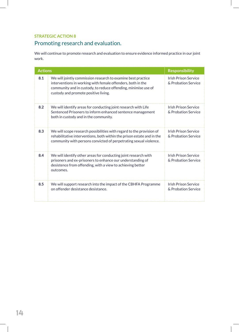# Promoting research and evaluation.

We will continue to promote research and evaluation to ensure evidence informed practice in our joint work.

| <b>Actions</b> |                                                                                                                                                                                                                                       | <b>Responsibility</b>                              |
|----------------|---------------------------------------------------------------------------------------------------------------------------------------------------------------------------------------------------------------------------------------|----------------------------------------------------|
| 8.1            | We will jointly commission research to examine best practice<br>interventions in working with female offenders, both in the<br>community and in custody, to reduce offending, minimise use of<br>custody and promote positive living. | <b>Irish Prison Service</b><br>& Probation Service |
| 8.2            | We will identify areas for conducting joint research with Life<br>Sentenced Prisoners to inform enhanced sentence management<br>both in custody and in the community.                                                                 | Irish Prison Service<br>& Probation Service        |
| 8.3            | We will scope research possibilities with regard to the provision of<br>rehabilitative interventions, both within the prison estate and in the<br>community with persons convicted of perpetrating sexual violence.                   | <b>Irish Prison Service</b><br>& Probation Service |
| 8.4            | We will identify other areas for conducting joint research with<br>prisoners and ex-prisoners to enhance our understanding of<br>desistence from offending, with a view to achieving better<br>outcomes.                              | <b>Irish Prison Service</b><br>& Probation Service |
| 8.5            | We will support research into the impact of the CBHFA Programme<br>on offender desistance desistance.                                                                                                                                 | <b>Irish Prison Service</b><br>& Probation Service |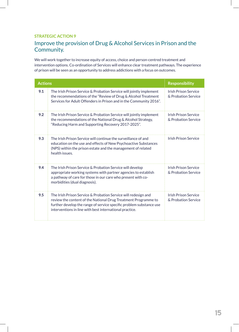### Improve the provision of Drug & Alcohol Services in Prison and the Community.

We will work together to increase equity of access, choice and person-centred treatment and intervention options. Co-ordination of Services will enhance clear treatment pathways. The experience of prison will be seen as an opportunity to address addictions with a focus on outcomes.

| <b>Actions</b> |                                                                                                                                                                                                                                                                    | <b>Responsibility</b>                              |
|----------------|--------------------------------------------------------------------------------------------------------------------------------------------------------------------------------------------------------------------------------------------------------------------|----------------------------------------------------|
| 9.1            | The Irish Prison Service & Probation Service will jointly implement<br>the recommendations of the "Review of Drug & Alcohol Treatment<br>Services for Adult Offenders in Prison and in the Community 2016".                                                        | <b>Irish Prison Service</b><br>& Probation Service |
| 9.2            | The Irish Prison Service & Probation Service will jointly implement<br>the recommendations of the National Drug & Alcohol Strategy,<br>"Reducing Harm and Supporting Recovery 2017-2025".                                                                          | <b>Irish Prison Service</b><br>& Probation Service |
| 9.3            | The Irish Prison Service will continue the surveillance of and<br>education on the use and effects of New Psychoactive Substances<br>(NPS) within the prison estate and the management of related<br>health issues.                                                | <b>Irish Prison Service</b>                        |
| 9.4            | The Irish Prison Service & Probation Service will develop<br>appropriate working systems with partner agencies to establish<br>a pathway of care for those in our care who present with co-<br>morbidities (dual diagnosis).                                       | <b>Irish Prison Service</b><br>& Probation Service |
| 9.5            | The Irish Prison Service & Probation Service will redesign and<br>review the content of the National Drug Treatment Programme to<br>further develop the range of service specific problem substance use<br>interventions in line with best international practice. | <b>Irish Prison Service</b><br>& Probation Service |